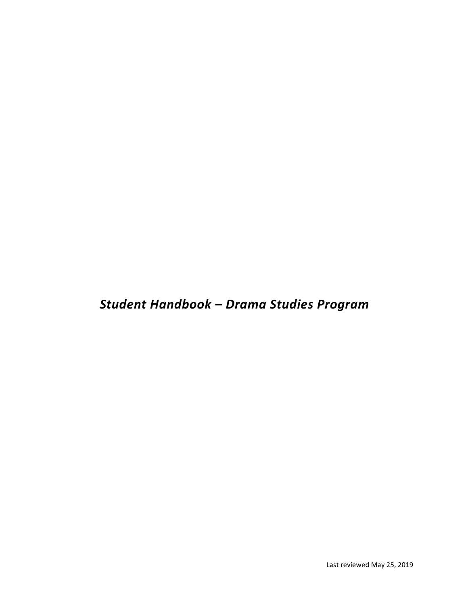*Student Handbook – Drama Studies Program*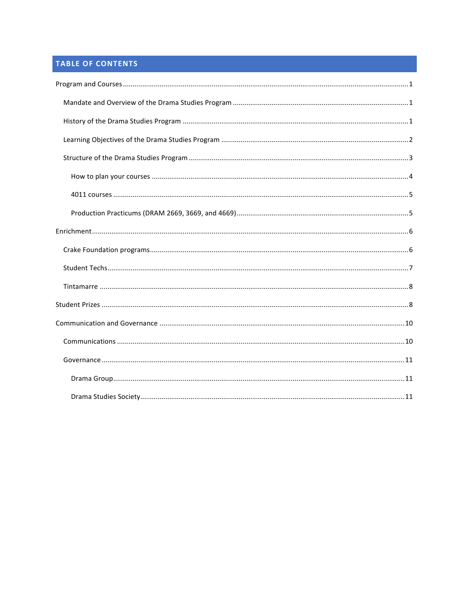# **TABLE OF CONTENTS**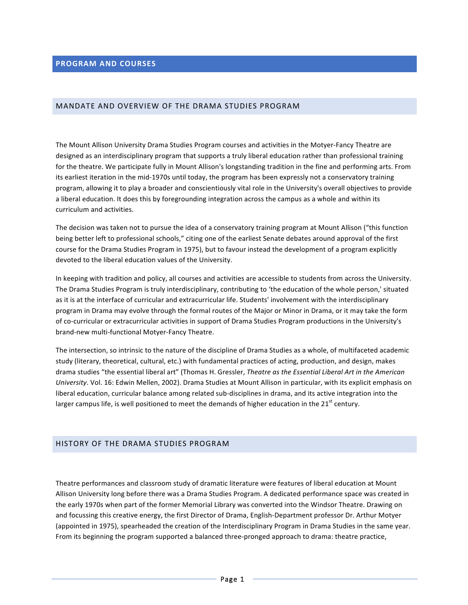# **PROGRAM AND COURSES**

### MANDATE AND OVERVIEW OF THE DRAMA STUDIES PROGRAM

The Mount Allison University Drama Studies Program courses and activities in the Motyer-Fancy Theatre are designed as an interdisciplinary program that supports a truly liberal education rather than professional training for the theatre. We participate fully in Mount Allison's longstanding tradition in the fine and performing arts. From its earliest iteration in the mid-1970s until today, the program has been expressly not a conservatory training program, allowing it to play a broader and conscientiously vital role in the University's overall objectives to provide a liberal education. It does this by foregrounding integration across the campus as a whole and within its curriculum and activities.

The decision was taken not to pursue the idea of a conservatory training program at Mount Allison ("this function being better left to professional schools," citing one of the earliest Senate debates around approval of the first course for the Drama Studies Program in 1975), but to favour instead the development of a program explicitly devoted to the liberal education values of the University.

In keeping with tradition and policy, all courses and activities are accessible to students from across the University. The Drama Studies Program is truly interdisciplinary, contributing to 'the education of the whole person,' situated as it is at the interface of curricular and extracurricular life. Students' involvement with the interdisciplinary program in Drama may evolve through the formal routes of the Major or Minor in Drama, or it may take the form of co-curricular or extracurricular activities in support of Drama Studies Program productions in the University's brand-new multi-functional Motyer-Fancy Theatre.

The intersection, so intrinsic to the nature of the discipline of Drama Studies as a whole, of multifaceted academic study (literary, theoretical, cultural, etc.) with fundamental practices of acting, production, and design, makes drama studies "the essential liberal art" (Thomas H. Gressler, Theatre as the Essential Liberal Art in the American *University*. Vol. 16: Edwin Mellen, 2002). Drama Studies at Mount Allison in particular, with its explicit emphasis on liberal education, curricular balance among related sub-disciplines in drama, and its active integration into the larger campus life, is well positioned to meet the demands of higher education in the  $21^{st}$  century.

# HISTORY OF THE DRAMA STUDIES PROGRAM

Theatre performances and classroom study of dramatic literature were features of liberal education at Mount Allison University long before there was a Drama Studies Program. A dedicated performance space was created in the early 1970s when part of the former Memorial Library was converted into the Windsor Theatre. Drawing on and focussing this creative energy, the first Director of Drama, English-Department professor Dr. Arthur Motyer (appointed in 1975), spearheaded the creation of the Interdisciplinary Program in Drama Studies in the same year. From its beginning the program supported a balanced three-pronged approach to drama: theatre practice,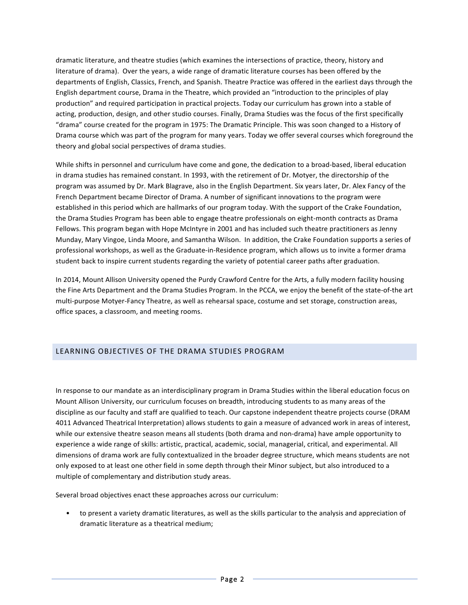dramatic literature, and theatre studies (which examines the intersections of practice, theory, history and literature of drama). Over the years, a wide range of dramatic literature courses has been offered by the departments of English, Classics, French, and Spanish. Theatre Practice was offered in the earliest days through the English department course, Drama in the Theatre, which provided an "introduction to the principles of play production" and required participation in practical projects. Today our curriculum has grown into a stable of acting, production, design, and other studio courses. Finally, Drama Studies was the focus of the first specifically "drama" course created for the program in 1975: The Dramatic Principle. This was soon changed to a History of Drama course which was part of the program for many years. Today we offer several courses which foreground the theory and global social perspectives of drama studies.

While shifts in personnel and curriculum have come and gone, the dedication to a broad-based, liberal education in drama studies has remained constant. In 1993, with the retirement of Dr. Motyer, the directorship of the program was assumed by Dr. Mark Blagrave, also in the English Department. Six years later, Dr. Alex Fancy of the French Department became Director of Drama. A number of significant innovations to the program were established in this period which are hallmarks of our program today. With the support of the Crake Foundation, the Drama Studies Program has been able to engage theatre professionals on eight-month contracts as Drama Fellows. This program began with Hope McIntyre in 2001 and has included such theatre practitioners as Jenny Munday, Mary Vingoe, Linda Moore, and Samantha Wilson. In addition, the Crake Foundation supports a series of professional workshops, as well as the Graduate-in-Residence program, which allows us to invite a former drama student back to inspire current students regarding the variety of potential career paths after graduation.

In 2014, Mount Allison University opened the Purdy Crawford Centre for the Arts, a fully modern facility housing the Fine Arts Department and the Drama Studies Program. In the PCCA, we enjoy the benefit of the state-of-the art multi-purpose Motyer-Fancy Theatre, as well as rehearsal space, costume and set storage, construction areas, office spaces, a classroom, and meeting rooms.

# LEARNING OBJECTIVES OF THE DRAMA STUDIES PROGRAM

In response to our mandate as an interdisciplinary program in Drama Studies within the liberal education focus on Mount Allison University, our curriculum focuses on breadth, introducing students to as many areas of the discipline as our faculty and staff are qualified to teach. Our capstone independent theatre projects course (DRAM 4011 Advanced Theatrical Interpretation) allows students to gain a measure of advanced work in areas of interest, while our extensive theatre season means all students (both drama and non-drama) have ample opportunity to experience a wide range of skills: artistic, practical, academic, social, managerial, critical, and experimental. All dimensions of drama work are fully contextualized in the broader degree structure, which means students are not only exposed to at least one other field in some depth through their Minor subject, but also introduced to a multiple of complementary and distribution study areas.

Several broad objectives enact these approaches across our curriculum:

to present a variety dramatic literatures, as well as the skills particular to the analysis and appreciation of dramatic literature as a theatrical medium;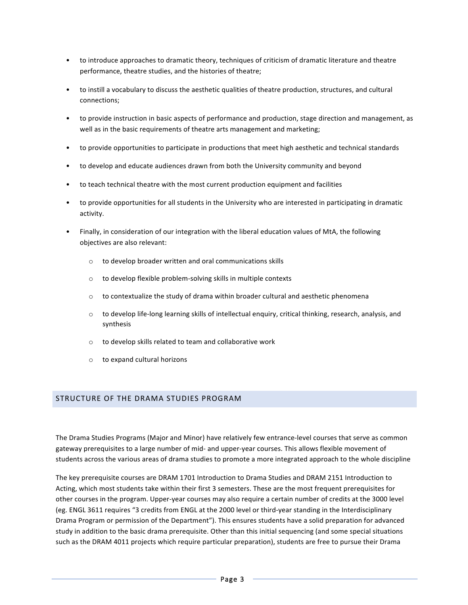- to introduce approaches to dramatic theory, techniques of criticism of dramatic literature and theatre performance, theatre studies, and the histories of theatre;
- to instill a vocabulary to discuss the aesthetic qualities of theatre production, structures, and cultural connections;
- to provide instruction in basic aspects of performance and production, stage direction and management, as well as in the basic requirements of theatre arts management and marketing;
- to provide opportunities to participate in productions that meet high aesthetic and technical standards
- to develop and educate audiences drawn from both the University community and beyond
- to teach technical theatre with the most current production equipment and facilities
- to provide opportunities for all students in the University who are interested in participating in dramatic activity.
- Finally, in consideration of our integration with the liberal education values of MtA, the following objectives are also relevant:
	- $\circ$  to develop broader written and oral communications skills
	- $\circ$  to develop flexible problem-solving skills in multiple contexts
	- $\circ$  to contextualize the study of drama within broader cultural and aesthetic phenomena
	- $\circ$  to develop life-long learning skills of intellectual enquiry, critical thinking, research, analysis, and synthesis
	- $\circ$  to develop skills related to team and collaborative work
	- $\circ$  to expand cultural horizons

### STRUCTURE OF THE DRAMA STUDIES PROGRAM

The Drama Studies Programs (Major and Minor) have relatively few entrance-level courses that serve as common gateway prerequisites to a large number of mid- and upper-year courses. This allows flexible movement of students across the various areas of drama studies to promote a more integrated approach to the whole discipline

The key prerequisite courses are DRAM 1701 Introduction to Drama Studies and DRAM 2151 Introduction to Acting, which most students take within their first 3 semesters. These are the most frequent prerequisites for other courses in the program. Upper-year courses may also require a certain number of credits at the 3000 level (eg. ENGL 3611 requires "3 credits from ENGL at the 2000 level or third-year standing in the Interdisciplinary Drama Program or permission of the Department"). This ensures students have a solid preparation for advanced study in addition to the basic drama prerequisite. Other than this initial sequencing (and some special situations such as the DRAM 4011 projects which require particular preparation), students are free to pursue their Drama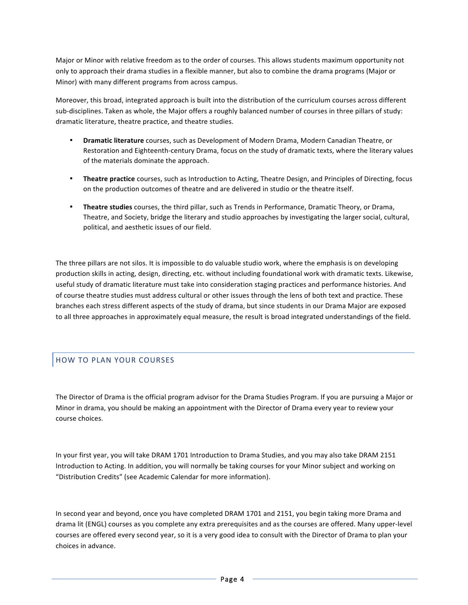Major or Minor with relative freedom as to the order of courses. This allows students maximum opportunity not only to approach their drama studies in a flexible manner, but also to combine the drama programs (Major or Minor) with many different programs from across campus.

Moreover, this broad, integrated approach is built into the distribution of the curriculum courses across different sub-disciplines. Taken as whole, the Major offers a roughly balanced number of courses in three pillars of study: dramatic literature, theatre practice, and theatre studies.

- **Dramatic literature** courses, such as Development of Modern Drama, Modern Canadian Theatre, or Restoration and Eighteenth-century Drama, focus on the study of dramatic texts, where the literary values of the materials dominate the approach.
- **Theatre practice** courses, such as Introduction to Acting, Theatre Design, and Principles of Directing, focus on the production outcomes of theatre and are delivered in studio or the theatre itself.
- **Theatre studies** courses, the third pillar, such as Trends in Performance, Dramatic Theory, or Drama, Theatre, and Society, bridge the literary and studio approaches by investigating the larger social, cultural, political, and aesthetic issues of our field.

The three pillars are not silos. It is impossible to do valuable studio work, where the emphasis is on developing production skills in acting, design, directing, etc. without including foundational work with dramatic texts. Likewise, useful study of dramatic literature must take into consideration staging practices and performance histories. And of course theatre studies must address cultural or other issues through the lens of both text and practice. These branches each stress different aspects of the study of drama, but since students in our Drama Major are exposed to all three approaches in approximately equal measure, the result is broad integrated understandings of the field.

# HOW TO PLAN YOUR COURSES

The Director of Drama is the official program advisor for the Drama Studies Program. If you are pursuing a Major or Minor in drama, you should be making an appointment with the Director of Drama every year to review your course choices.

In your first year, you will take DRAM 1701 Introduction to Drama Studies, and you may also take DRAM 2151 Introduction to Acting. In addition, you will normally be taking courses for your Minor subject and working on "Distribution Credits" (see Academic Calendar for more information).

In second year and beyond, once you have completed DRAM 1701 and 2151, you begin taking more Drama and drama lit (ENGL) courses as you complete any extra prerequisites and as the courses are offered. Many upper-level courses are offered every second year, so it is a very good idea to consult with the Director of Drama to plan your choices in advance.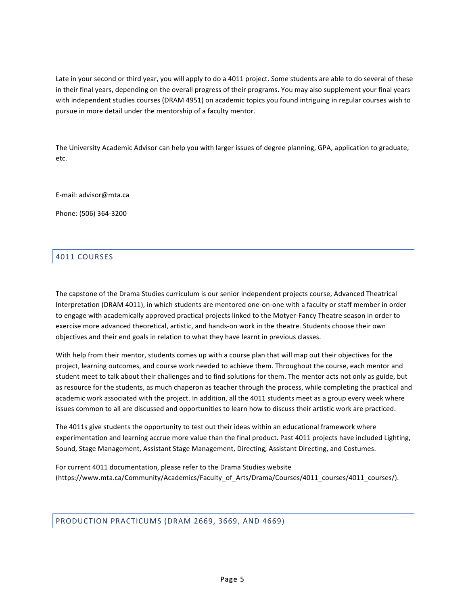Late in your second or third year, you will apply to do a 4011 project. Some students are able to do several of these in their final years, depending on the overall progress of their programs. You may also supplement your final years with independent studies courses (DRAM 4951) on academic topics you found intriguing in regular courses wish to pursue in more detail under the mentorship of a faculty mentor.

The University Academic Advisor can help you with larger issues of degree planning, GPA, application to graduate, etc. 

E-mail: advisor@mta.ca

Phone: (506) 364-3200

# 4011 COURSES

The capstone of the Drama Studies curriculum is our senior independent projects course, Advanced Theatrical Interpretation (DRAM 4011), in which students are mentored one-on-one with a faculty or staff member in order to engage with academically approved practical projects linked to the Motyer-Fancy Theatre season in order to exercise more advanced theoretical, artistic, and hands-on work in the theatre. Students choose their own objectives and their end goals in relation to what they have learnt in previous classes.

With help from their mentor, students comes up with a course plan that will map out their objectives for the project, learning outcomes, and course work needed to achieve them. Throughout the course, each mentor and student meet to talk about their challenges and to find solutions for them. The mentor acts not only as guide, but as resource for the students, as much chaperon as teacher through the process, while completing the practical and academic work associated with the project. In addition, all the 4011 students meet as a group every week where issues common to all are discussed and opportunities to learn how to discuss their artistic work are practiced.

The 4011s give students the opportunity to test out their ideas within an educational framework where experimentation and learning accrue more value than the final product. Past 4011 projects have included Lighting, Sound, Stage Management, Assistant Stage Management, Directing, Assistant Directing, and Costumes.

For current 4011 documentation, please refer to the Drama Studies website (https://www.mta.ca/Community/Academics/Faculty\_of\_Arts/Drama/Courses/4011\_courses/4011\_courses/).

PRODUCTION PRACTICUMS (DRAM 2669, 3669, AND 4669)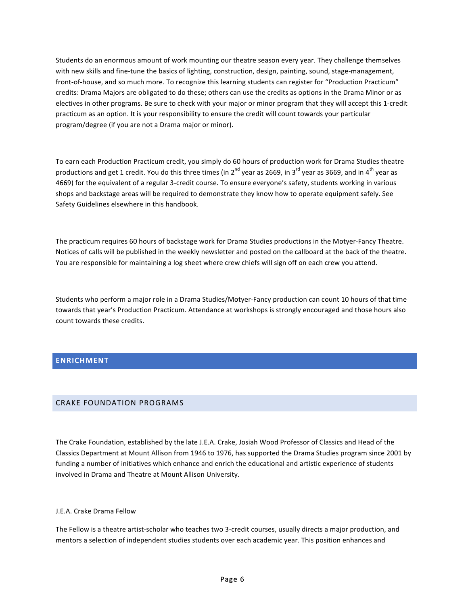Students do an enormous amount of work mounting our theatre season every year. They challenge themselves with new skills and fine-tune the basics of lighting, construction, design, painting, sound, stage-management, front-of-house, and so much more. To recognize this learning students can register for "Production Practicum" credits: Drama Majors are obligated to do these; others can use the credits as options in the Drama Minor or as electives in other programs. Be sure to check with your major or minor program that they will accept this 1-credit practicum as an option. It is your responsibility to ensure the credit will count towards your particular program/degree (if you are not a Drama major or minor).

To earn each Production Practicum credit, you simply do 60 hours of production work for Drama Studies theatre productions and get 1 credit. You do this three times (in  $2^{nd}$  year as 2669, in 3<sup>rd</sup> year as 3669, and in 4<sup>th</sup> year as 4669) for the equivalent of a regular 3-credit course. To ensure everyone's safety, students working in various shops and backstage areas will be required to demonstrate they know how to operate equipment safely. See Safety Guidelines elsewhere in this handbook.

The practicum requires 60 hours of backstage work for Drama Studies productions in the Motyer-Fancy Theatre. Notices of calls will be published in the weekly newsletter and posted on the callboard at the back of the theatre. You are responsible for maintaining a log sheet where crew chiefs will sign off on each crew you attend.

Students who perform a major role in a Drama Studies/Motyer-Fancy production can count 10 hours of that time towards that year's Production Practicum. Attendance at workshops is strongly encouraged and those hours also count towards these credits.

# **ENRICHMENT**

### CRAKE FOUNDATION PROGRAMS

The Crake Foundation, established by the late J.E.A. Crake, Josiah Wood Professor of Classics and Head of the Classics Department at Mount Allison from 1946 to 1976, has supported the Drama Studies program since 2001 by funding a number of initiatives which enhance and enrich the educational and artistic experience of students involved in Drama and Theatre at Mount Allison University.

#### J.E.A. Crake Drama Fellow

The Fellow is a theatre artist-scholar who teaches two 3-credit courses, usually directs a major production, and mentors a selection of independent studies students over each academic year. This position enhances and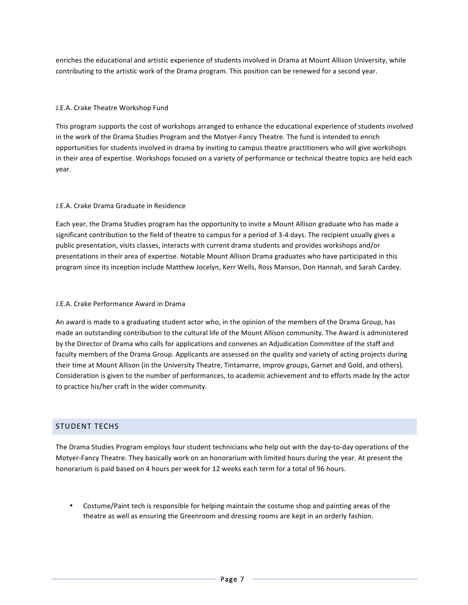enriches the educational and artistic experience of students involved in Drama at Mount Allison University, while contributing to the artistic work of the Drama program. This position can be renewed for a second year.

### J.E.A. Crake Theatre Workshop Fund

This program supports the cost of workshops arranged to enhance the educational experience of students involved in the work of the Drama Studies Program and the Motyer-Fancy Theatre. The fund is intended to enrich opportunities for students involved in drama by inviting to campus theatre practitioners who will give workshops in their area of expertise. Workshops focused on a variety of performance or technical theatre topics are held each year. 

### J.E.A. Crake Drama Graduate in Residence

Each year, the Drama Studies program has the opportunity to invite a Mount Allison graduate who has made a significant contribution to the field of theatre to campus for a period of 3-4 days. The recipient usually gives a public presentation, visits classes, interacts with current drama students and provides workshops and/or presentations in their area of expertise. Notable Mount Allison Drama graduates who have participated in this program since its inception include Matthew Jocelyn, Kerr Wells, Ross Manson, Don Hannah, and Sarah Cardey.

#### J.E.A. Crake Performance Award in Drama

An award is made to a graduating student actor who, in the opinion of the members of the Drama Group, has made an outstanding contribution to the cultural life of the Mount Allison community. The Award is administered by the Director of Drama who calls for applications and convenes an Adjudication Committee of the staff and faculty members of the Drama Group. Applicants are assessed on the quality and variety of acting projects during their time at Mount Allison (in the University Theatre, Tintamarre, improv groups, Garnet and Gold, and others). Consideration is given to the number of performances, to academic achievement and to efforts made by the actor to practice his/her craft in the wider community.

# STUDENT TECHS

The Drama Studies Program employs four student technicians who help out with the day-to-day operations of the Motyer-Fancy Theatre. They basically work on an honorarium with limited hours during the year. At present the honorarium is paid based on 4 hours per week for 12 weeks each term for a total of 96 hours.

• Costume/Paint tech is responsible for helping maintain the costume shop and painting areas of the theatre as well as ensuring the Greenroom and dressing rooms are kept in an orderly fashion.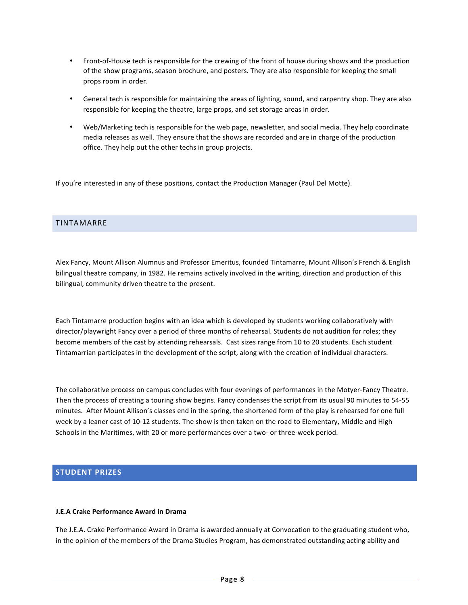- Front-of-House tech is responsible for the crewing of the front of house during shows and the production of the show programs, season brochure, and posters. They are also responsible for keeping the small props room in order.
- General tech is responsible for maintaining the areas of lighting, sound, and carpentry shop. They are also responsible for keeping the theatre, large props, and set storage areas in order.
- Web/Marketing tech is responsible for the web page, newsletter, and social media. They help coordinate media releases as well. They ensure that the shows are recorded and are in charge of the production office. They help out the other techs in group projects.

If you're interested in any of these positions, contact the Production Manager (Paul Del Motte).

### TINTAMARRE

Alex Fancy, Mount Allison Alumnus and Professor Emeritus, founded Tintamarre, Mount Allison's French & English bilingual theatre company, in 1982. He remains actively involved in the writing, direction and production of this bilingual, community driven theatre to the present.

Each Tintamarre production begins with an idea which is developed by students working collaboratively with director/playwright Fancy over a period of three months of rehearsal. Students do not audition for roles; they become members of the cast by attending rehearsals. Cast sizes range from 10 to 20 students. Each student Tintamarrian participates in the development of the script, along with the creation of individual characters.

The collaborative process on campus concludes with four evenings of performances in the Motyer-Fancy Theatre. Then the process of creating a touring show begins. Fancy condenses the script from its usual 90 minutes to 54-55 minutes. After Mount Allison's classes end in the spring, the shortened form of the play is rehearsed for one full week by a leaner cast of 10-12 students. The show is then taken on the road to Elementary, Middle and High Schools in the Maritimes, with 20 or more performances over a two- or three-week period.

### **STUDENT PRIZES**

#### **J.E.A Crake Performance Award in Drama**

The J.E.A. Crake Performance Award in Drama is awarded annually at Convocation to the graduating student who, in the opinion of the members of the Drama Studies Program, has demonstrated outstanding acting ability and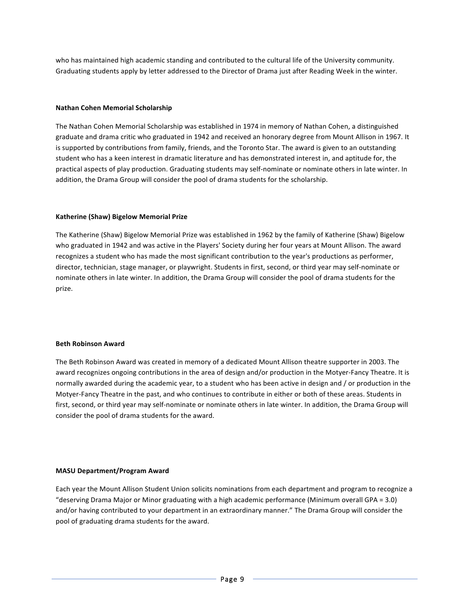who has maintained high academic standing and contributed to the cultural life of the University community. Graduating students apply by letter addressed to the Director of Drama just after Reading Week in the winter.

#### **Nathan Cohen Memorial Scholarship**

The Nathan Cohen Memorial Scholarship was established in 1974 in memory of Nathan Cohen, a distinguished graduate and drama critic who graduated in 1942 and received an honorary degree from Mount Allison in 1967. It is supported by contributions from family, friends, and the Toronto Star. The award is given to an outstanding student who has a keen interest in dramatic literature and has demonstrated interest in, and aptitude for, the practical aspects of play production. Graduating students may self-nominate or nominate others in late winter. In addition, the Drama Group will consider the pool of drama students for the scholarship.

#### **Katherine (Shaw) Bigelow Memorial Prize**

The Katherine (Shaw) Bigelow Memorial Prize was established in 1962 by the family of Katherine (Shaw) Bigelow who graduated in 1942 and was active in the Players' Society during her four years at Mount Allison. The award recognizes a student who has made the most significant contribution to the year's productions as performer, director, technician, stage manager, or playwright. Students in first, second, or third year may self-nominate or nominate others in late winter. In addition, the Drama Group will consider the pool of drama students for the prize.

#### **Beth Robinson Award**

The Beth Robinson Award was created in memory of a dedicated Mount Allison theatre supporter in 2003. The award recognizes ongoing contributions in the area of design and/or production in the Motyer-Fancy Theatre. It is normally awarded during the academic year, to a student who has been active in design and / or production in the Motyer-Fancy Theatre in the past, and who continues to contribute in either or both of these areas. Students in first, second, or third year may self-nominate or nominate others in late winter. In addition, the Drama Group will consider the pool of drama students for the award.

#### **MASU Department/Program Award**

Each year the Mount Allison Student Union solicits nominations from each department and program to recognize a "deserving Drama Major or Minor graduating with a high academic performance (Minimum overall GPA =  $3.0$ ) and/or having contributed to your department in an extraordinary manner." The Drama Group will consider the pool of graduating drama students for the award.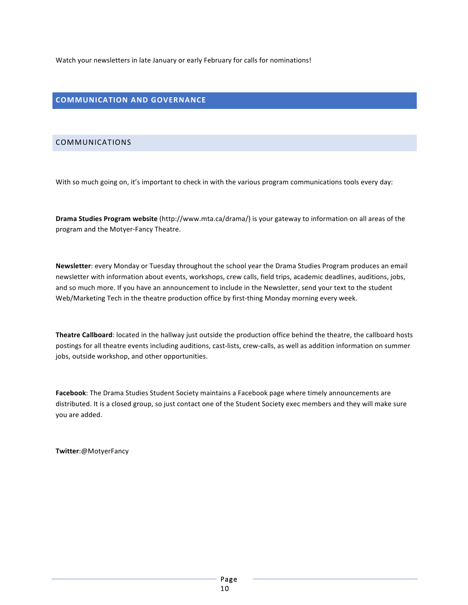Watch your newsletters in late January or early February for calls for nominations!

# **COMMUNICATION AND GOVERNANCE**

### COMMUNICATIONS

With so much going on, it's important to check in with the various program communications tools every day:

**Drama Studies Program website** (http://www.mta.ca/drama/) is your gateway to information on all areas of the program and the Motyer-Fancy Theatre.

**Newsletter**: every Monday or Tuesday throughout the school year the Drama Studies Program produces an email newsletter with information about events, workshops, crew calls, field trips, academic deadlines, auditions, jobs, and so much more. If you have an announcement to include in the Newsletter, send your text to the student Web/Marketing Tech in the theatre production office by first-thing Monday morning every week.

**Theatre Callboard**: located in the hallway just outside the production office behind the theatre, the callboard hosts postings for all theatre events including auditions, cast-lists, crew-calls, as well as addition information on summer jobs, outside workshop, and other opportunities.

Facebook: The Drama Studies Student Society maintains a Facebook page where timely announcements are distributed. It is a closed group, so just contact one of the Student Society exec members and they will make sure you are added.

**Twitter**:@MotyerFancy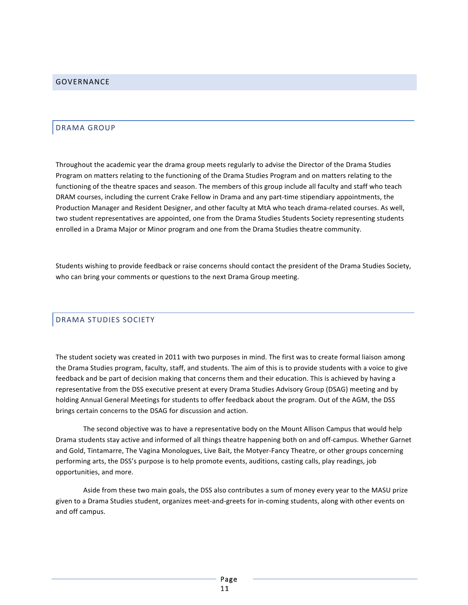### DRAMA GROUP

Throughout the academic year the drama group meets regularly to advise the Director of the Drama Studies Program on matters relating to the functioning of the Drama Studies Program and on matters relating to the functioning of the theatre spaces and season. The members of this group include all faculty and staff who teach DRAM courses, including the current Crake Fellow in Drama and any part-time stipendiary appointments, the Production Manager and Resident Designer, and other faculty at MtA who teach drama-related courses. As well, two student representatives are appointed, one from the Drama Studies Students Society representing students enrolled in a Drama Major or Minor program and one from the Drama Studies theatre community.

Students wishing to provide feedback or raise concerns should contact the president of the Drama Studies Society, who can bring your comments or questions to the next Drama Group meeting.

# DRAMA STUDIES SOCIETY

The student society was created in 2011 with two purposes in mind. The first was to create formal liaison among the Drama Studies program, faculty, staff, and students. The aim of this is to provide students with a voice to give feedback and be part of decision making that concerns them and their education. This is achieved by having a representative from the DSS executive present at every Drama Studies Advisory Group (DSAG) meeting and by holding Annual General Meetings for students to offer feedback about the program. Out of the AGM, the DSS brings certain concerns to the DSAG for discussion and action.

The second objective was to have a representative body on the Mount Allison Campus that would help Drama students stay active and informed of all things theatre happening both on and off-campus. Whether Garnet and Gold, Tintamarre, The Vagina Monologues, Live Bait, the Motyer-Fancy Theatre, or other groups concerning performing arts, the DSS's purpose is to help promote events, auditions, casting calls, play readings, job opportunities, and more.

Aside from these two main goals, the DSS also contributes a sum of money every year to the MASU prize given to a Drama Studies student, organizes meet-and-greets for in-coming students, along with other events on and off campus.